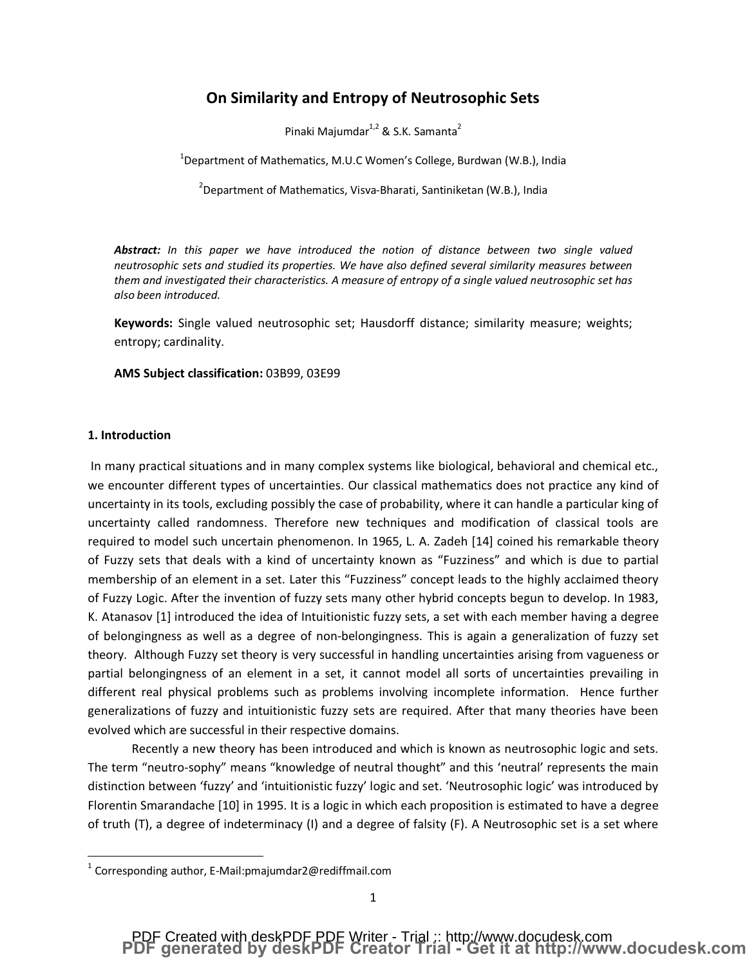### **On Similarity and Entropy of Neutrosophic Sets**

Pinaki Majumdar<sup>1,2</sup> & S.K. Samanta<sup>2</sup>

 $^{1}$ Department of Mathematics, M.U.C Women's College, Burdwan (W.B.), India

 $^{2}$ Department of Mathematics, Visva-Bharati, Santiniketan (W.B.), India

*Abstract: In this paper we have introduced the notion of distance between two single valued neutrosophic sets and studied its properties. We have also defined several similarity measures between them and investigated their characteristics. A measure of entropy of a single valued neutrosophic set has also been introduced.*

**Keywords:** Single valued neutrosophic set; Hausdorff distance; similarity measure; weights; entropy; cardinality.

**AMS Subject classification:** 03B99, 03E99

### **1. Introduction**

In many practical situations and in many complex systems like biological, behavioral and chemical etc., we encounter different types of uncertainties. Our classical mathematics does not practice any kind of uncertainty in its tools, excluding possibly the case of probability, where it can handle a particular king of uncertainty called randomness. Therefore new techniques and modification of classical tools are required to model such uncertain phenomenon. In 1965, L. A. Zadeh [14] coined his remarkable theory of Fuzzy sets that deals with a kind of uncertainty known as "Fuzziness" and which is due to partial membership of an element in a set. Later this "Fuzziness" concept leads to the highly acclaimed theory of Fuzzy Logic. After the invention of fuzzy sets many other hybrid concepts begun to develop. In 1983, K. Atanasov [1] introduced the idea of Intuitionistic fuzzy sets, a set with each member having a degree of belongingness as well as a degree of non-belongingness. This is again a generalization of fuzzy set theory. Although Fuzzy set theory is very successful in handling uncertainties arising from vagueness or partial belongingness of an element in a set, it cannot model all sorts of uncertainties prevailing in different real physical problems such as problems involving incomplete information. Hence further generalizations of fuzzy and intuitionistic fuzzy sets are required. After that many theories have been evolved which are successful in their respective domains.

Recently a new theory has been introduced and which is known as neutrosophic logic and sets. The term "neutro-sophy" means "knowledge of neutral thought" and this 'neutral' represents the main distinction between 'fuzzy' and 'intuitionistic fuzzy' logic and set. 'Neutrosophic logic' was introduced by Florentin Smarandache [10] in 1995. It is a logic in which each proposition is estimated to have a degree of truth (T), a degree of indeterminacy (I) and a degree of falsity (F). A Neutrosophic set is a set where

 $1$  Corresponding author, E-Mail:pmajumdar2@rediffmail.com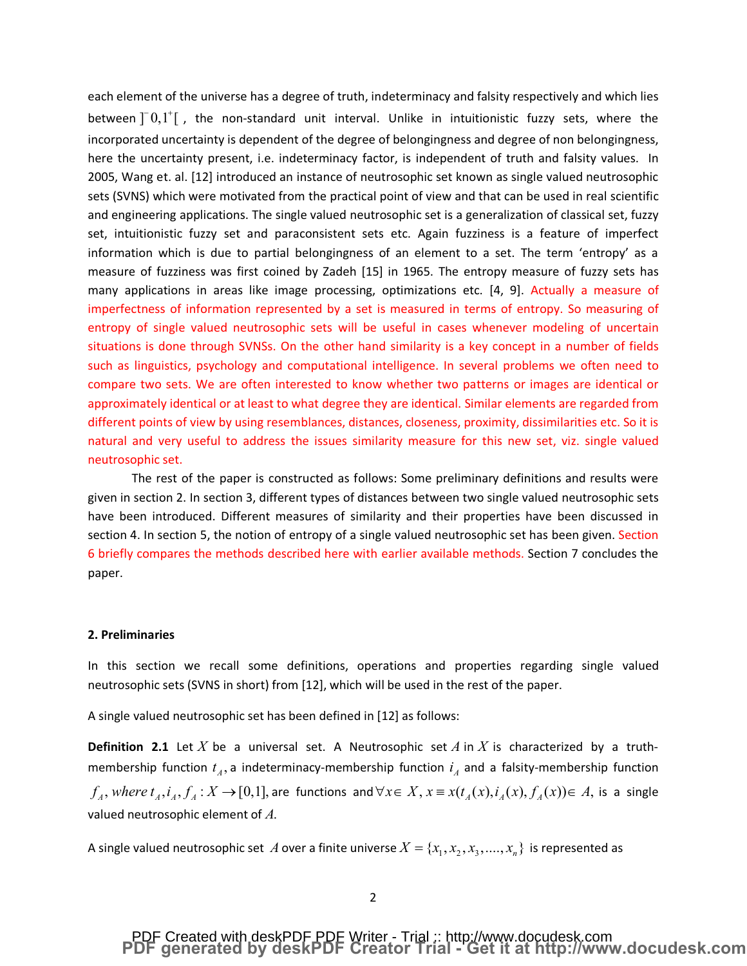each element of the universe has a degree of truth, indeterminacy and falsity respectively and which lies between  $\begin{bmatrix} 0,1^{\dagger} \end{bmatrix}$ , the non-standard unit interval. Unlike in intuitionistic fuzzy sets, where the incorporated uncertainty is dependent of the degree of belongingness and degree of non belongingness, here the uncertainty present, i.e. indeterminacy factor, is independent of truth and falsity values. In 2005, Wang et. al. [12] introduced an instance of neutrosophic set known as single valued neutrosophic sets (SVNS) which were motivated from the practical point of view and that can be used in real scientific and engineering applications. The single valued neutrosophic set is a generalization of classical set, fuzzy set, intuitionistic fuzzy set and paraconsistent sets etc. Again fuzziness is a feature of imperfect information which is due to partial belongingness of an element to a set. The term 'entropy' as a measure of fuzziness was first coined by Zadeh [15] in 1965. The entropy measure of fuzzy sets has many applications in areas like image processing, optimizations etc. [4, 9]. Actually a measure of imperfectness of information represented by a set is measured in terms of entropy. So measuring of entropy of single valued neutrosophic sets will be useful in cases whenever modeling of uncertain situations is done through SVNSs. On the other hand similarity is a key concept in a number of fields such as linguistics, psychology and computational intelligence. In several problems we often need to compare two sets. We are often interested to know whether two patterns or images are identical or approximately identical or at least to what degree they are identical. Similar elements are regarded from different points of view by using resemblances, distances, closeness, proximity, dissimilarities etc. So it is natural and very useful to address the issues similarity measure for this new set, viz. single valued neutrosophic set.

The rest of the paper is constructed as follows: Some preliminary definitions and results were given in section 2. In section 3, different types of distances between two single valued neutrosophic sets have been introduced. Different measures of similarity and their properties have been discussed in section 4. In section 5, the notion of entropy of a single valued neutrosophic set has been given. Section 6 briefly compares the methods described here with earlier available methods. Section 7 concludes the paper.

#### **2. Preliminaries**

In this section we recall some definitions, operations and properties regarding single valued neutrosophic sets (SVNS in short) from [12], which will be used in the rest of the paper.

A single valued neutrosophic set has been defined in [12] as follows:

**Definition 2.1** Let *X* be a universal set. A Neutrosophic set *A* in *X* is characterized by a truthmembership function  $t_A$ , a indeterminacy-membership function  $i_A$  and a falsity-membership function  $f_A$ , where  $t_A$ ,  $i_A$ ,  $f_A$  :  $X \to [0,1]$ , are functions and  $\forall x \in X$ ,  $x \equiv x(t_A(x), i_A(x), f_A(x)) \in A$ , is a single valued neutrosophic element of *A*.

A single valued neutrosophic set A over a finite universe  $X = \{x_1, x_2, x_3, ..., x_n\}$  is represented as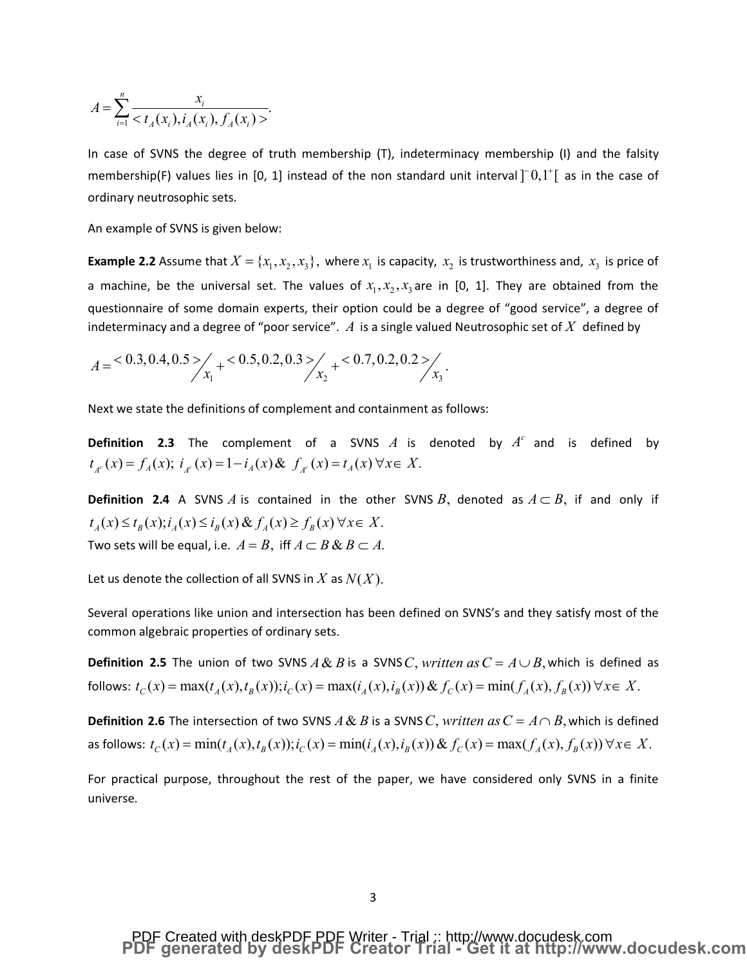$$
A = \sum_{i=1}^{n} \frac{x_i}{\langle t_A(x_i), i_A(x_i), f_A(x_i) \rangle}.
$$

In case of SVNS the degree of truth membership (T), indeterminacy membership (I) and the falsity membership(F) values lies in [0, 1] instead of the non standard unit interval  $\left[0,1\right]$  as in the case of ordinary neutrosophic sets.

An example of SVNS is given below:

**Example 2.2** Assume that  $X = \{x_1, x_2, x_3\}$ , where  $x_1$  is capacity,  $x_2$  is trustworthiness and,  $x_3$  is price of a machine, be the universal set. The values of  $x_1, x_2, x_3$  are in [0, 1]. They are obtained from the questionnaire of some domain experts, their option could be a degree of "good service", a degree of indeterminacy and a degree of "poor service".  $A$  is a single valued Neutrosophic set of  $X$  defined by

$$
A = \frac{0.3, 0.4, 0.5}{x_1} + \frac{0.5, 0.2, 0.3}{x_2} + \frac{0.7, 0.2, 0.2}{x_3}
$$

Next we state the definitions of complement and containment as follows:

**Definition 2.3** The complement of a SVNS  $A$  is denoted by  $A<sup>c</sup>$  and is defined by  $t_{A^c}(x) = f_A(x); i_{A^c}(x) = 1 - i_A(x) \& f_{A^c}(x) = t_A(x) \forall x \in X.$ 

**Definition 2.4** A SVNS A is contained in the other SVNS B, denoted as  $A \subset B$ , if and only if  $t_A(x) \le t_B(x); i_A(x) \le i_B(x) \& \ f_A(x) \ge f_B(x) \forall x \in X.$ Two sets will be equal, i.e.  $A = B$ , iff  $A \subset B \& B \subset A$ .

Let us denote the collection of all SVNS in X as  $N(X)$ .

Several operations like union and intersection has been defined on SVNS's and they satisfy most of the common algebraic properties of ordinary sets.

**Definition 2.5** The union of two SVNS  $A \& B$  is a SVNS C, written as  $C = A \cup B$ , which is defined as follows:  $t_c(x) = \max(t_a(x), t_b(x)); i_c(x) = \max(i_a(x), i_b(x)) \& f_c(x) = \min(f_a(x), f_b(x)) \forall x \in X.$ 

**Definition 2.6** The intersection of two SVNS  $A \& B$  is a SVNS C, written as  $C = A \cap B$ , which is defined as follows:  $t_c(x) = min(t_a(x), t_b(x)); i_c(x) = min(i_a(x), i_b(x)) \& f_c(x) = max(f_a(x), f_b(x)) \forall x \in X$ .

For practical purpose, throughout the rest of the paper, we have considered only SVNS in a finite universe.

# PDF Created with deskPDF PDF Writer - Trial :: http://www.docudesk.com<br>PDF generated by deskPDF Creator Trial - Get it at http://www.docudesk.com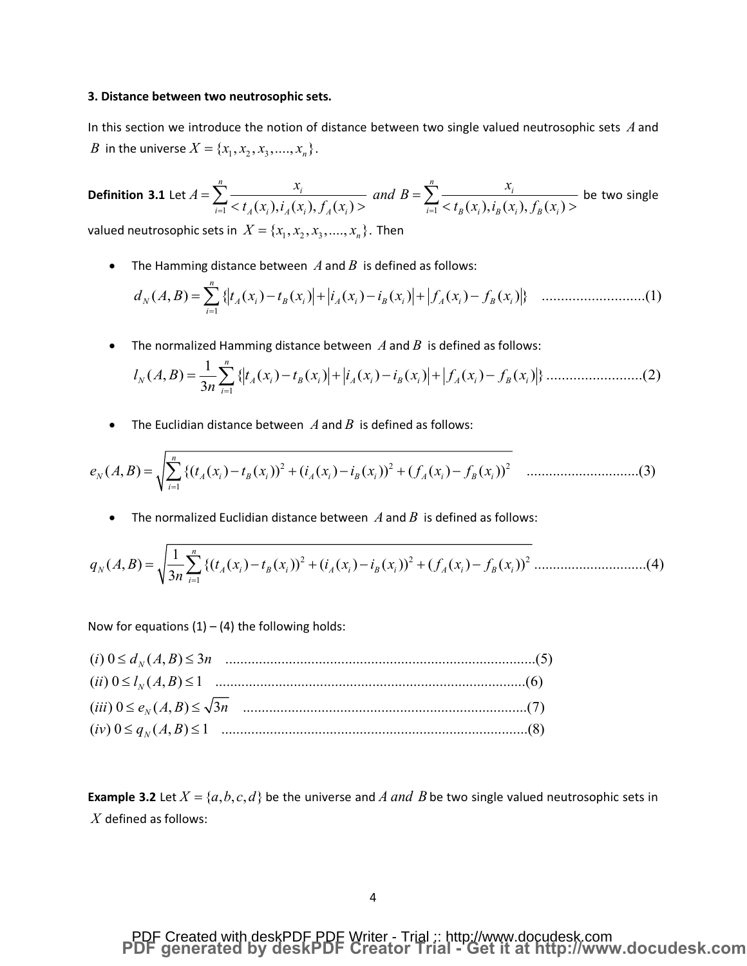#### **3. Distance between two neutrosophic sets.**

In this section we introduce the notion of distance between two single valued neutrosophic sets *A* and *B* in the universe  $X = \{x_1, x_2, x_3, \ldots, x_n\}.$ 

**Definition 3.1** Let 
$$
A = \sum_{i=1}^{n} \frac{x_i}{< t_A(x_i), i_A(x_i), f_A(x_i) >}
$$
 and  $B = \sum_{i=1}^{n} \frac{x_i}{< t_B(x_i), i_B(x_i), f_B(x_i) >}$  be two single

valued neutrosophic sets in  $X = \{x_1, x_2, x_3, \dots, x_n\}$ . Then

• The Hamming distance between  $A$  and  $B$  is defined as follows:

1 ( , ) { ( ) ( ) ( ) ( ) ( ) ( )} ...........................(1) *n N A i B i A i B i A i B i i d A B t x t x i x i x f x f x* = <sup>=</sup> å - <sup>+</sup> - <sup>+</sup> -

• The normalized Hamming distance between  $A$  and  $B$  is defined as follows:

1 <sup>1</sup> ( , ) { ( ) ( ) ( ) ( ) ( ) ( )}.........................(2) <sup>3</sup> *n N A i B i A i B i A i B i i l A B t x t x i x i x f x f x n* <sup>=</sup> <sup>=</sup> å - <sup>+</sup> - <sup>+</sup> -

The Euclidian distance between  $A$  and  $B$  is defined as follows:

2 2 2 1 ( , ) {( ( ) ( )) ( ( ) ( )) ( ( ) ( )) ..............................(3) *n N A i B i A i B i A i B i i e A B t x t x i x i x f x f x* = <sup>=</sup> å - <sup>+</sup> - <sup>+</sup> -

The normalized Euclidian distance between  $A$  and  $B$  is defined as follows:

2 2 2 1 <sup>1</sup> ( , ) {( ( ) ( )) ( ( ) ( )) ( ( ) ( )) ..............................(4) <sup>3</sup> *n N A i B i A i B i A i B i i q A B t x t x i x i x f x f x n* <sup>=</sup> <sup>=</sup> å - <sup>+</sup> - <sup>+</sup> -

Now for equations  $(1) - (4)$  the following holds:

**Example 3.2** Let  $X = \{a, b, c, d\}$  be the universe and *A and B* be two single valued neutrosophic sets in *X* defined as follows: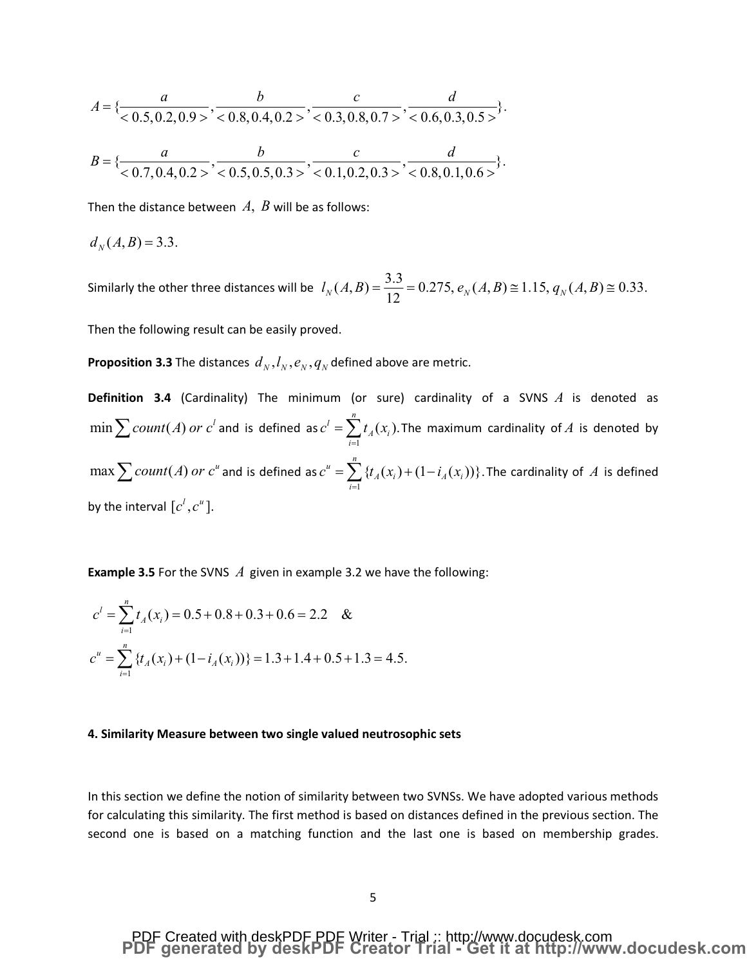$$
A = \{\frac{a}{<0.5, 0.2, 0.9>} \cdot \frac{b}{<0.8, 0.4, 0.2>} \cdot \frac{c}{<0.3, 0.8, 0.7>} \cdot \frac{d}{<0.6, 0.3, 0.5>}\}.
$$
  

$$
B = \{\frac{a}{<0.8, 0.4, 0.2>} \cdot \frac{b}{<0.8, 0.8, 0.7>} \cdot \frac{c}{<0.6, 0.3, 0.5>} \cdot \frac{d}{<0.8, 0.4, 0.2>} \cdot \frac{c}{<0.8, 0.8, 0.7>} \cdot \frac{d}{<0.8, 0.8, 0.7>} \cdot \frac{d}{<0.8, 0.8, 0.7>} \cdot \frac{d}{<0.8, 0.8, 0.7>} \cdot \frac{d}{<0.8, 0.8, 0.7>} \cdot \frac{d}{<0.8, 0.8, 0.7>} \cdot \frac{d}{<0.8, 0.8, 0.7>} \cdot \frac{d}{<0.8, 0.8, 0.7>} \cdot \frac{d}{<0.8, 0.8, 0.7>} \cdot \frac{d}{<0.8, 0.8, 0.7>} \cdot \frac{d}{<0.8, 0.8, 0.7>} \cdot \frac{d}{<0.8, 0.8, 0.7>} \cdot \frac{d}{<0.8, 0.8, 0.7>} \cdot \frac{d}{<0.8, 0.8, 0.7>} \cdot \frac{d}{<0.8, 0.8, 0.7>} \cdot \frac{d}{<0.8, 0.8, 0.7>} \cdot \frac{d}{<0.8, 0.8, 0.7>} \cdot \frac{d}{<0.8, 0.8, 0.7>} \cdot \frac{d}{<0.8, 0.8, 0.7>} \cdot \frac{d}{<0.8, 0.8, 0.7>} \cdot \frac{d}{<0.8, 0.8, 0.7>} \cdot \frac{d}{<0.8, 0.8, 0.7>} \cdot \frac{d}{<0.8, 0.8, 0.7>} \cdot \frac{d}{<0.8, 0.8, 0.7>} \cdot \frac{d}{<0.8, 0.7} \cdot \frac{d}{<0.8, 0.7} \cdot \frac{d}{
$$

$$
B = \{\frac{a}{<0.7, 0.4, 0.2>} , \frac{b}{<0.5, 0.5, 0.3>} , \frac{c}{<0.1, 0.2, 0.3>} , \frac{d}{<0.8, 0.1, 0.6>} \}.
$$

Then the distance between *A*, *B* will be as follows:

$$
d_N(A,B)=3.3.
$$

Similarly the other three distances will be  $l_N(A, B) = \frac{3.3}{12} = 0.275, e_N(A, B) \cong 1.15, q_N(A, B) \cong 0.33.$ 

Then the following result can be easily proved.

**Proposition 3.3** The distances  $d_N$ ,  $l_N$ ,  $e_N$ ,  $q_N$  defined above are metric.

**Definition 3.4** (Cardinality) The minimum (or sure) cardinality of a SVNS *A* is denoted as  $\displaystyle \min \sum count(A)$   $or$   $c^{l}$  and is defined as  $c^{l}$  =  $\displaystyle \sum _{i=1}$  $l = \sum_{i=1}^{n} t_i(x_i)$ .  $\overline{A} \vee \overline{\overline{B}}$ *i*  $c' = \sum t_A(x)$  $=\sum_{i=1} t_A(x_i).$  The maximum cardinality of  $A$  is denoted by  $\max \sum count(A)$   $or$   $c^u$  and is defined as  $c^u = \sum_{i=1}^n c_i$  $u = \sum_{i=1}^{n} \{t_i(x_i) + (1-i_i(x_i))\}.$  $A(\lambda_i)$  **i**  $\lambda_i$ *i*  $c^u = \sum \{t_A(x_i) + (1 - i_A(x_i))\}$  $=\sum_{i=1} \left\{ t_{\overline{A}}(x_{\overline{i}}) + (1\!-\!i_{\overline{A}}(x_{\overline{i}})) \right\}$ . The cardinality of  $\overline{A}$  is defined by the interval  $[c^l, c^u]$ .

**Example 3.5** For the SVNS *A* given in example 3.2 we have the following:

$$
c^{l} = \sum_{i=1}^{n} t_A(x_i) = 0.5 + 0.8 + 0.3 + 0.6 = 2.2 \&
$$
  

$$
c^{u} = \sum_{i=1}^{n} \{t_A(x_i) + (1 - i_A(x_i))\} = 1.3 + 1.4 + 0.5 + 1.3 = 4.5.
$$

#### **4. Similarity Measure between two single valued neutrosophic sets**

In this section we define the notion of similarity between two SVNSs. We have adopted various methods for calculating this similarity. The first method is based on distances defined in the previous section. The second one is based on a matching function and the last one is based on membership grades.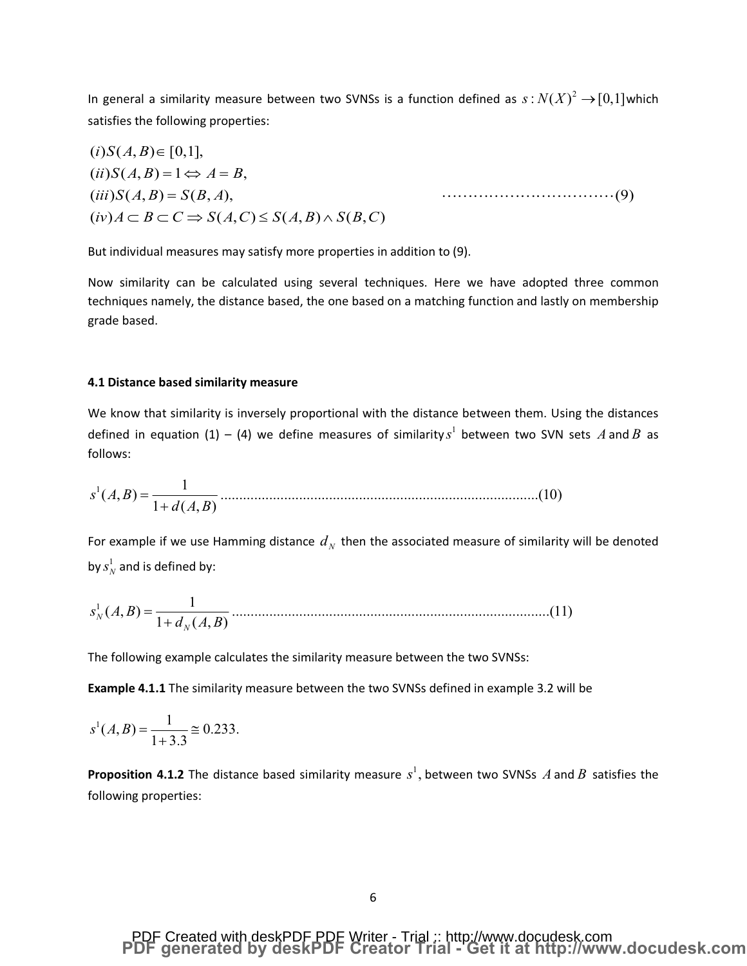In general a similarity measure between two SVNSs is a function defined as  $s: N(X)^2 \to [0,1]$  which satisfies the following properties:

$$
(i)S(A, B) \in [0,1],\n(ii)S(A, B) = 1 \Leftrightarrow A = B,\n(iii)S(A, B) = S(B, A),\n(iv)A \subset B \subset C \Rightarrow S(A, C) \le S(A, B) \wedge S(B, C)
$$
\n(9)

But individual measures may satisfy more properties in addition to (9).

Now similarity can be calculated using several techniques. Here we have adopted three common techniques namely, the distance based, the one based on a matching function and lastly on membership grade based.

#### 4.1 Distance based similarity measure

We know that similarity is inversely proportional with the distance between them. Using the distances defined in equation (1) – (4) we define measures of similarity  $s^1$  between two SVN sets A and B as follows:

$$
s^{1}(A, B) = \frac{1}{1 + d(A, B)}
$$
.................(10)

For example if we use Hamming distance  $d_N$  then the associated measure of similarity will be denoted by  $s_N^1$  and is defined by:

The following example calculates the similarity measure between the two SVNSs:

**Example 4.1.1** The similarity measure between the two SVNSs defined in example 3.2 will be

$$
s^1(A, B) = \frac{1}{1+3.3} \cong 0.233.
$$

**Proposition 4.1.2** The distance based similarity measure  $s^1$ , between two SVNSs A and B satisfies the following properties:

## PDF Created with deskPDF PDF Writer - Trial :: http://www.docudesk.com<br>PDF generated by deskPDF Creator Trial - Get it at http://www.docudesk.com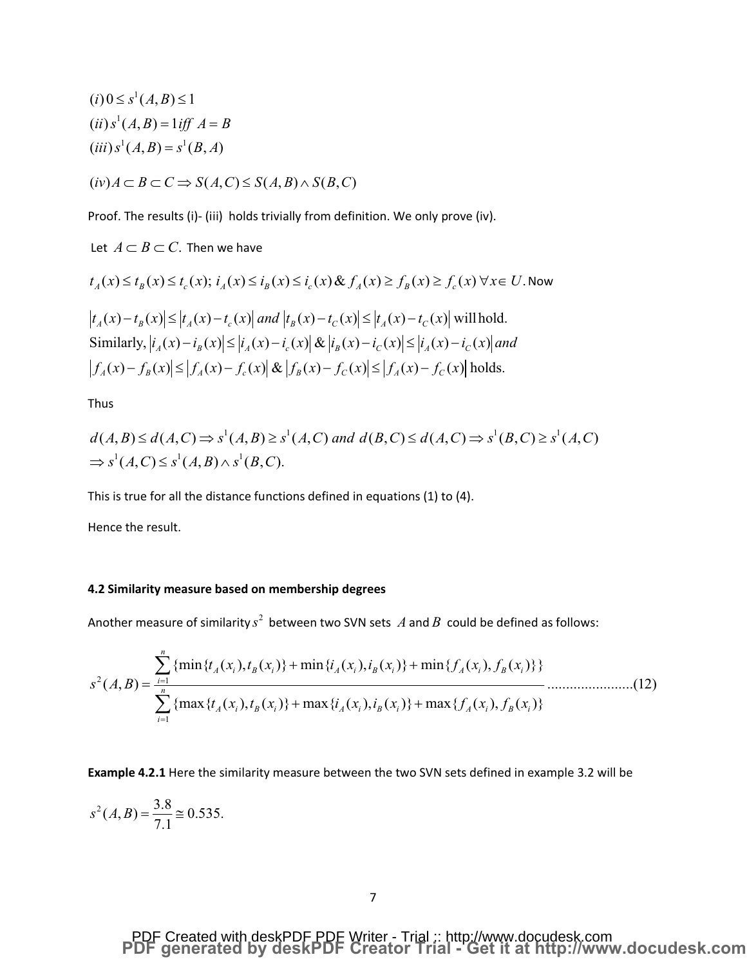$$
(i) \ 0 \le s^1(A, B) \le 1
$$
  
\n
$$
(ii) \ s^1(A, B) = 1 \text{ iff } A = B
$$
  
\n
$$
(iii) \ s^1(A, B) = s^1(B, A)
$$
  
\n
$$
(iv) \ A \subset B \subset C \Rightarrow S(A, C) \le S(A, B) \land S(B, C)
$$

Proof. The results (i)- (iii) holds trivially from definition. We only prove (iv).

Let  $A \subset B \subset C$ . Then we have

$$
t_A(x) \le t_B(x) \le t_c(x); \quad i_A(x) \le i_B(x) \le i_c(x) \& f_A(x) \ge f_B(x) \ge f_c(x) \,\forall x \in U. \text{ Now}
$$
\n
$$
\left| t_A(x) - t_B(x) \right| \le \left| t_A(x) - t_c(x) \right| \text{ and } \left| t_B(x) - t_C(x) \right| \le \left| t_A(x) - t_C(x) \right| \text{ will hold.}
$$
\nSimilarly, 
$$
\left| i_A(x) - i_B(x) \right| \le \left| i_A(x) - i_c(x) \right| \& \left| i_B(x) - i_C(x) \right| \le \left| i_A(x) - i_C(x) \right| \text{ and}
$$
\n
$$
\left| f_A(x) - f_B(x) \right| \le \left| f_A(x) - f_c(x) \right| \& \left| f_B(x) - f_C(x) \right| \le \left| f_A(x) - f_C(x) \right| \text{ holds.}
$$

Thus

$$
d(A,B) \le d(A,C) \Rightarrow s^1(A,B) \ge s^1(A,C) \text{ and } d(B,C) \le d(A,C) \Rightarrow s^1(B,C) \ge s^1(A,C)
$$
  
\n
$$
\Rightarrow s^1(A,C) \le s^1(A,B) \land s^1(B,C).
$$

This is true for all the distance functions defined in equations (1) to (4).

Hence the result.

### 4.2 Similarity measure based on membership degrees

Another measure of similarity  $s^2$  between two SVN sets A and B could be defined as follows:

$$
s^{2}(A,B) = \frac{\sum_{i=1}^{n} \{ \min \{ t_{A}(x_{i}), t_{B}(x_{i}) \} + \min \{ i_{A}(x_{i}), i_{B}(x_{i}) \} + \min \{ f_{A}(x_{i}), f_{B}(x_{i}) \} \}}{\sum_{i=1}^{n} \{ \max \{ t_{A}(x_{i}), t_{B}(x_{i}) \} + \max \{ i_{A}(x_{i}), i_{B}(x_{i}) \} + \max \{ f_{A}(x_{i}), f_{B}(x_{i}) \} }
$$
(12)

**Example 4.2.1** Here the similarity measure between the two SVN sets defined in example 3.2 will be

$$
s^2(A, B) = \frac{3.8}{7.1} \approx 0.535.
$$

## PDF Created with deskPDF PDF Writer - Trial :: http://www.docudesk.com<br>PDF generated by deskPDF Creator Trial - Get it at http://www.docudesk.com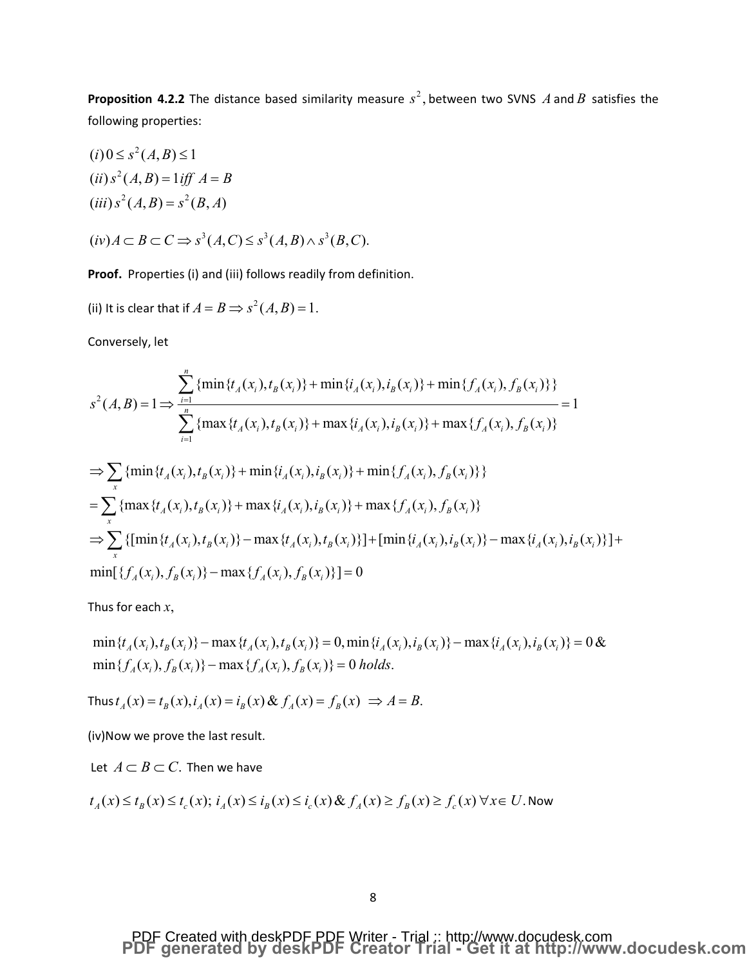**Proposition 4.2.2** The distance based similarity measure  $s^2$ , between two SVNS  $A$  and  $B$  satisfies the following properties:

$$
(i) 0 \le s^2(A, B) \le 1
$$
  
\n
$$
(ii) s^2(A, B) = 1 \text{ iff } A = B
$$
  
\n
$$
(iii) s^2(A, B) = s^2(B, A)
$$

 $(iv) A \subset B \subset C \Rightarrow s^3(A, C) \leq s^3(A, B) \wedge s^3(B, C).$ 

**Proof.** Properties (i) and (iii) follows readily from definition.

(ii) It is clear that if  $A = B \implies s^2(A, B) = 1$ .

Conversely, let

$$
s^{2}(A, B) = 1 \Rightarrow \frac{\sum_{i=1}^{n} {\min\{t_{A}(x_{i}), t_{B}(x_{i})\}} + \min\{i_{A}(x_{i}), i_{B}(x_{i})\} + \min\{f_{A}(x_{i}), f_{B}(x_{i})\}}{\sum_{i=1}^{n} {\max\{t_{A}(x_{i}), t_{B}(x_{i})\}} + \max\{i_{A}(x_{i}), i_{B}(x_{i})\}} + \max\{f_{A}(x_{i}), f_{B}(x_{i})\}
$$
  
\n
$$
\Rightarrow \sum_{x} {\min\{t_{A}(x_{i}), t_{B}(x_{i})\}} + \min\{i_{A}(x_{i}), i_{B}(x_{i})\} + \min\{f_{A}(x_{i}), f_{B}(x_{i})\}
$$
  
\n
$$
= \sum_{x} {\max\{t_{A}(x_{i}), t_{B}(x_{i})\}} + \max\{i_{A}(x_{i}), i_{B}(x_{i})\} + \max\{f_{A}(x_{i}), f_{B}(x_{i})\}
$$
  
\n
$$
\Rightarrow \sum_{x} {\min\{t_{A}(x_{i}), t_{B}(x_{i})\}} - \max\{t_{A}(x_{i}), t_{B}(x_{i})\} + \left[\min\{i_{A}(x_{i}), i_{B}(x_{i})\} - \max\{i_{A}(x_{i}), i_{B}(x_{i})\}\right]
$$
  
\n
$$
\min\{f_{A}(x_{i}), f_{B}(x_{i})\} - \max\{f_{A}(x_{i}), f_{B}(x_{i})\} = 0
$$

Thus for each *x*,

 $\min\{t_A(x_i), t_B(x_i)\} - \max\{t_A(x_i), t_B(x_i)\} = 0, \min\{t_A(x_i), t_B(x_i)\} - \max\{t_A(x_i), t_B(x_i)\} = 0$ &  $\min \{ f_A(x_i), f_B(x_i) \} - \max \{ f_A(x_i), f_B(x_i) \} = 0$  holds.

Thus 
$$
t_A(x) = t_B(x)
$$
,  $i_A(x) = i_B(x) \& f_A(x) = f_B(x) \Rightarrow A = B$ .

(iv)Now we prove the last result.

Let  $A \subset B \subset C$ . Then we have

$$
t_A(x) \le t_B(x) \le t_c(x); i_A(x) \le i_B(x) \le i_c(x) \& f_A(x) \ge f_B(x) \ge f_c(x) \forall x \in U.
$$
 Now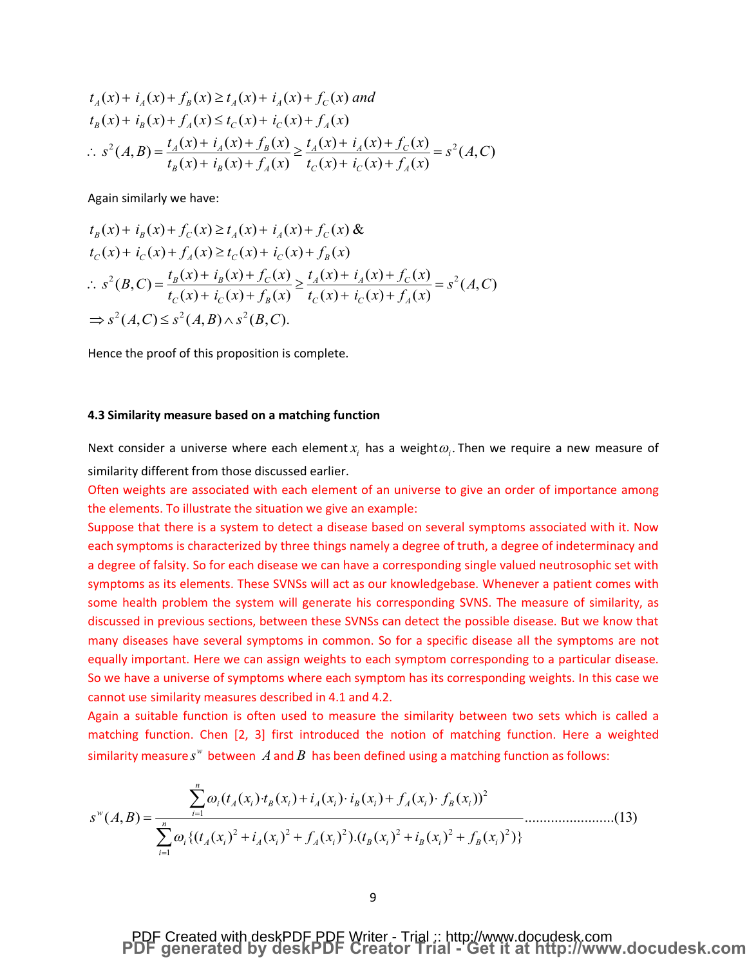$$
t_A(x) + i_A(x) + f_B(x) \ge t_A(x) + i_A(x) + f_C(x) \text{ and}
$$
  
\n
$$
t_B(x) + i_B(x) + f_A(x) \le t_C(x) + i_C(x) + f_A(x)
$$
  
\n
$$
\therefore s^2(A, B) = \frac{t_A(x) + i_A(x) + f_B(x)}{t_B(x) + i_B(x) + f_A(x)} \ge \frac{t_A(x) + i_A(x) + f_C(x)}{t_C(x) + i_C(x) + f_A(x)} = s^2(A, C)
$$

Again similarly we have:

$$
t_B(x) + i_B(x) + f_C(x) \ge t_A(x) + i_A(x) + f_C(x) \&
$$
  
\n
$$
t_C(x) + i_C(x) + f_A(x) \ge t_C(x) + i_C(x) + f_B(x)
$$
  
\n
$$
\therefore s^2(B, C) = \frac{t_B(x) + i_B(x) + f_C(x)}{t_C(x) + i_C(x) + f_B(x)} \ge \frac{t_A(x) + i_A(x) + f_C(x)}{t_C(x) + i_C(x) + f_A(x)} = s^2(A, C)
$$
  
\n
$$
\Rightarrow s^2(A, C) \le s^2(A, B) \land s^2(B, C).
$$

Hence the proof of this proposition is complete.

### **4.3 Similarity measure based on a matching function**

Next consider a universe where each element  $x<sub>i</sub>$  has a weight  $\omega<sub>i</sub>$ . Then we require a new measure of similarity different from those discussed earlier.

Often weights are associated with each element of an universe to give an order of importance among the elements. To illustrate the situation we give an example:

Suppose that there is a system to detect a disease based on several symptoms associated with it. Now each symptoms is characterized by three things namely a degree of truth, a degree of indeterminacy and a degree of falsity. So for each disease we can have a corresponding single valued neutrosophic set with symptoms as its elements. These SVNSs will act as our knowledgebase. Whenever a patient comes with some health problem the system will generate his corresponding SVNS. The measure of similarity, as discussed in previous sections, between these SVNSs can detect the possible disease. But we know that many diseases have several symptoms in common. So for a specific disease all the symptoms are not equally important. Here we can assign weights to each symptom corresponding to a particular disease. So we have a universe of symptoms where each symptom has its corresponding weights. In this case we cannot use similarity measures described in 4.1 and 4.2.

Again a suitable function is often used to measure the similarity between two sets which is called a matching function. Chen [2, 3] first introduced the notion of matching function. Here a weighted similarity measure  $s^w$  between A and B has been defined using a matching function as follows:

$$
s^{w}(A,B) = \frac{\sum_{i=1}^{n} \omega_{i} (t_{A}(x_{i}) \cdot t_{B}(x_{i}) + i_{A}(x_{i}) \cdot i_{B}(x_{i}) + f_{A}(x_{i}) \cdot f_{B}(x_{i}))^{2}}{\sum_{i=1}^{n} \omega_{i} \{ (t_{A}(x_{i})^{2} + i_{A}(x_{i})^{2} + f_{A}(x_{i})^{2}) \cdot (t_{B}(x_{i})^{2} + i_{B}(x_{i})^{2} + f_{B}(x_{i})^{2}) \}}
$$
(13)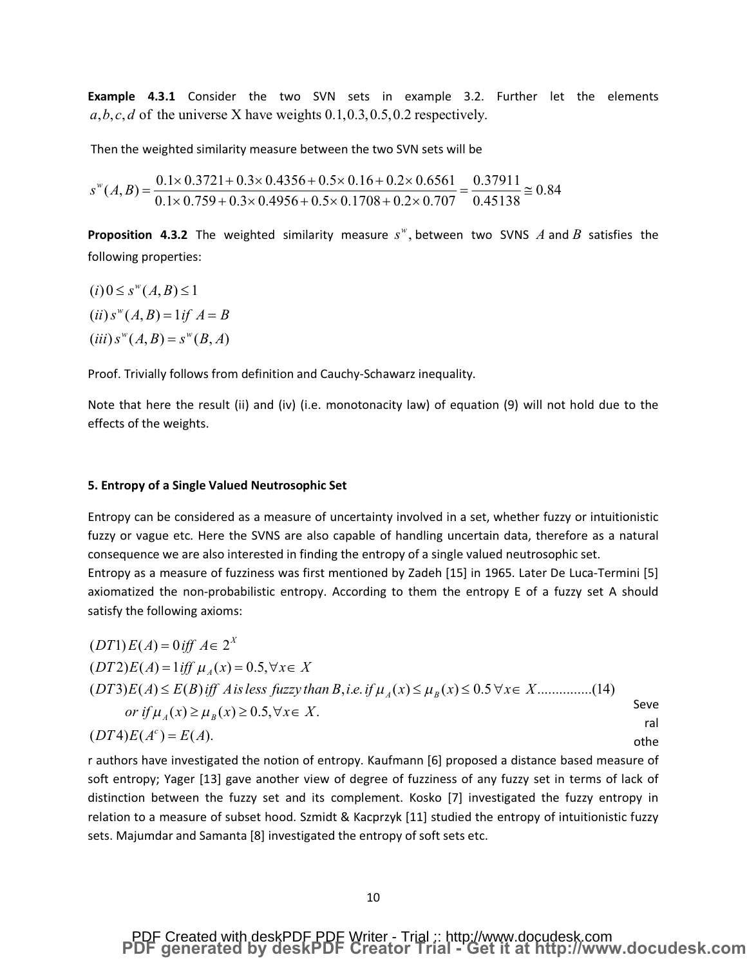**Example 4.3.1** Consider the two SVN sets in example 3.2. Further let the elements  $a, b, c, d$  of the universe X have weights  $0.1, 0.3, 0.5, 0.2$  respectively.

Then the weighted similarity measure between the two SVN sets will be

$$
s^{\text{w}}(A,B) = \frac{0.1 \times 0.3721 + 0.3 \times 0.4356 + 0.5 \times 0.16 + 0.2 \times 0.6561}{0.1 \times 0.759 + 0.3 \times 0.4956 + 0.5 \times 0.1708 + 0.2 \times 0.707} = \frac{0.37911}{0.45138} \approx 0.84
$$

**Proposition 4.3.2** The weighted similarity measure  $s^w$ , between two SVNS  $A$  and  $B$  satisfies the following properties:

$$
(i) 0 \le s^w(A, B) \le 1
$$
  
\n
$$
(ii) s^w(A, B) = 1 \text{ if } A = B
$$
  
\n
$$
(iii) s^w(A, B) = s^w(B, A)
$$

Proof. Trivially follows from definition and Cauchy-Schawarz inequality.

Note that here the result (ii) and (iv) (i.e. monotonacity law) of equation (9) will not hold due to the effects of the weights.

#### **5. Entropy of a Single Valued Neutrosophic Set**

Entropy can be considered as a measure of uncertainty involved in a set, whether fuzzy or intuitionistic fuzzy or vague etc. Here the SVNS are also capable of handling uncertain data, therefore as a natural consequence we are also interested in finding the entropy of a single valued neutrosophic set. Entropy as a measure of fuzziness was first mentioned by Zadeh [15] in 1965. Later De Luca-Termini [5] axiomatized the non-probabilistic entropy. According to them the entropy E of a fuzzy set A should satisfy the following axioms:

$$
(DT1)E(A) = 0 \text{ iff } A \in 2^{X}
$$
  
\n
$$
(DT2)E(A) = 1 \text{ iff } \mu_A(x) = 0.5, \forall x \in X
$$
  
\n
$$
(DT3)E(A) \le E(B) \text{ iff } A \text{ is less fuzzy than } B, i.e. \text{ if } \mu_A(x) \le \mu_B(x) \le 0.5 \forall x \in X
$$
.................(14)  
\nor if  $\mu_A(x) \ge \mu_B(x) \ge 0.5, \forall x \in X$ .  
\n
$$
(DT4)E(A^c) = E(A).
$$

r authors have investigated the notion of entropy. Kaufmann [6] proposed a distance based measure of soft entropy; Yager [13] gave another view of degree of fuzziness of any fuzzy set in terms of lack of distinction between the fuzzy set and its complement. Kosko [7] investigated the fuzzy entropy in relation to a measure of subset hood. Szmidt & Kacprzyk [11] studied the entropy of intuitionistic fuzzy sets. Majumdar and Samanta [8] investigated the entropy of soft sets etc.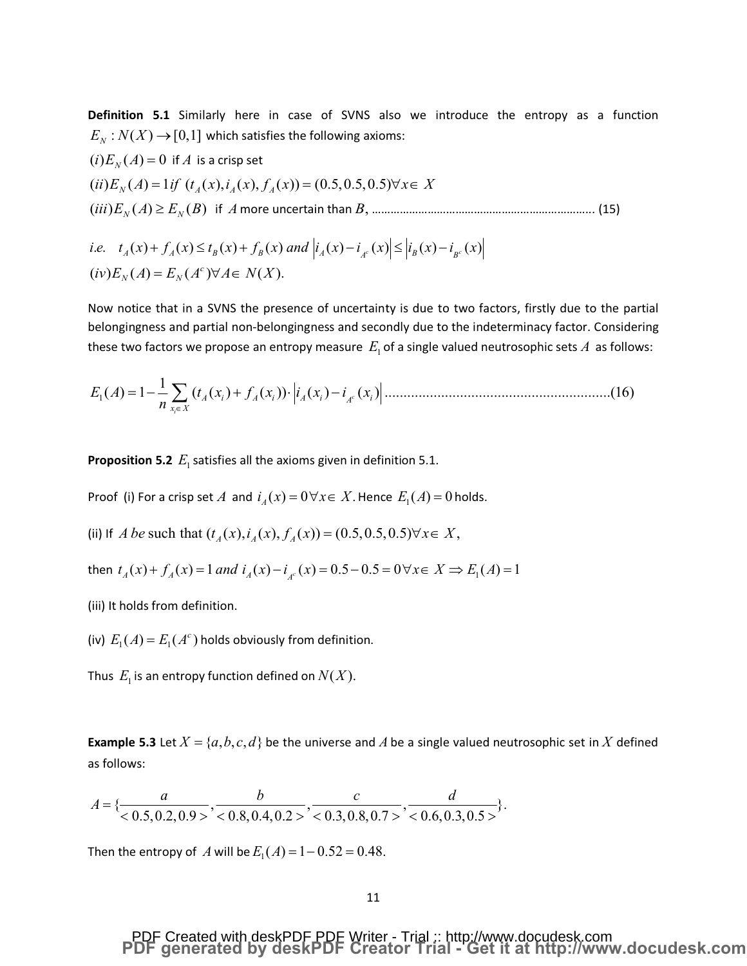Definition 5.1 Similarly here in case of SVNS also we introduce the entropy as a function  $E_N: N(X) \rightarrow [0,1]$  which satisfies the following axioms:

$$
(i) E_N(A) = 0 \text{ if } A \text{ is a crisp set}
$$
  
\n
$$
(ii) E_N(A) = 1 \text{ if } (t_A(x), t_A(x), f_A(x)) = (0.5, 0.5, 0.5) \forall x \in X
$$
  
\n
$$
(iii) E_N(A) \ge E_N(B) \text{ if } A \text{ more uncertain than } B, \dots
$$
\n(15)

i.e. 
$$
t_A(x) + f_A(x) \le t_B(x) + f_B(x)
$$
 and  $|i_A(x) - i_{A^c}(x)| \le |i_B(x) - i_{B^c}(x)|$   
\n $(iv) E_N(A) = E_N(A^c) \forall A \in N(X)$ .

Now notice that in a SVNS the presence of uncertainty is due to two factors, firstly due to the partial belongingness and partial non-belongingness and secondly due to the indeterminacy factor. Considering these two factors we propose an entropy measure  $E_1$  of a single valued neutrosophic sets  $A$  as follows:

**Proposition 5.2**  $E_1$  satisfies all the axioms given in definition 5.1.

Proof (i) For a crisp set A and  $i_A(x) = 0 \forall x \in X$ . Hence  $E_1(A) = 0$  holds.

(ii) If A be such that  $(t_A(x), i_A(x), f_A(x)) = (0.5, 0.5, 0.5) \forall x \in X$ ,

then  $t_A(x) + f_A(x) = 1$  and  $i_A(x) - i_A(x) = 0.5 - 0.5 = 0 \forall x \in X \implies E_1(A) = 1$ 

(iii) It holds from definition.

(iv)  $E_1(A) = E_1(A<sup>c</sup>)$  holds obviously from definition.

Thus  $E_1$  is an entropy function defined on  $N(X)$ .

**Example 5.3** Let  $X = \{a, b, c, d\}$  be the universe and A be a single valued neutrosophic set in X defined as follows:

$$
A = \{\frac{a}{<0.5, 0.2, 0.9>} , \frac{b}{<0.8, 0.4, 0.2>} , \frac{c}{<0.3, 0.8, 0.7>} , \frac{d}{<0.6, 0.3, 0.5>} \}
$$

Then the entropy of A will be  $E_1(A) = 1 - 0.52 = 0.48$ .

## PDF Created with deskPDF PDE Writer - Trial :: http://www.docudesk.com<br>PDF generated by deskPDF Creator Trial - Get it at http://www.docudesk.com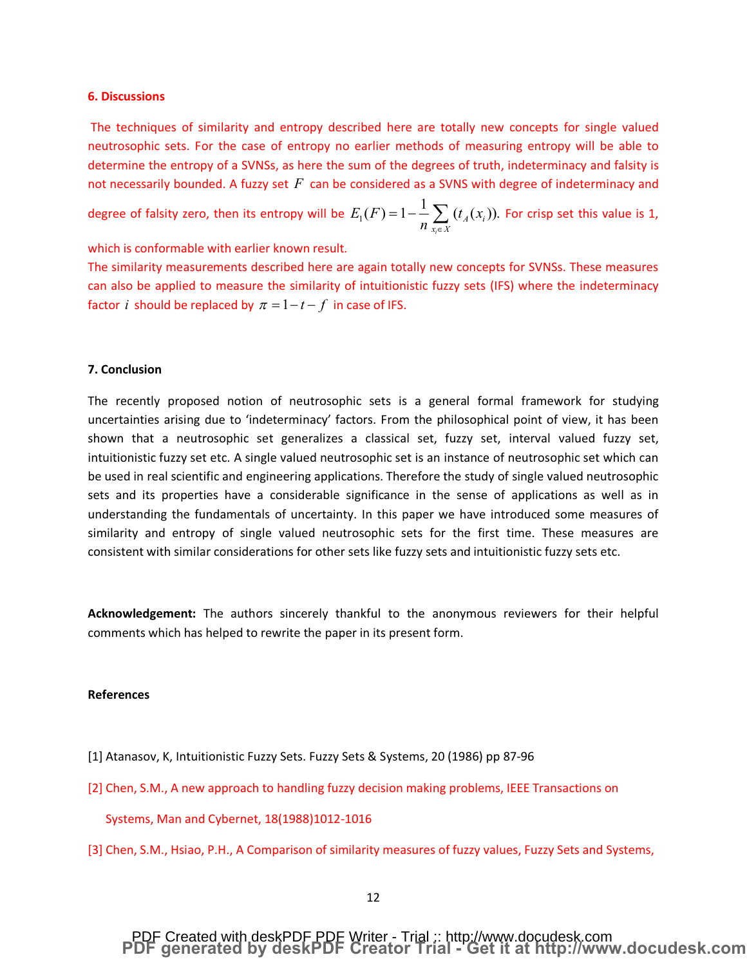#### **6. Discussions**

The techniques of similarity and entropy described here are totally new concepts for single valued neutrosophic sets. For the case of entropy no earlier methods of measuring entropy will be able to determine the entropy of a SVNSs, as here the sum of the degrees of truth, indeterminacy and falsity is not necessarily bounded. A fuzzy set *F* can be considered as a SVNS with degree of indeterminacy and

degree of falsity zero, then its entropy will be  $E_{\rm I}(F)\!=\!1\!-\!\sum{(t_{\rm {\cal A}}(x^{\ }_{i})})$ . *i*  $\overline{A} \vee \overline{Y}$ *i*  $x_i \in X$  $E_1(F) = 1 - \frac{1}{2} \int (t_A(x))$  $\displaystyle{1\!-\!\frac{1}{n}\sum_{x_i\in X}(t_{_A}(x_i))}.$  For crisp set this value is 1,

which is conformable with earlier known result.

The similarity measurements described here are again totally new concepts for SVNSs. These measures can also be applied to measure the similarity of intuitionistic fuzzy sets (IFS) where the indeterminacy factor *i* should be replaced by  $\pi = 1 - t - f$  in case of IFS.

### **7. Conclusion**

The recently proposed notion of neutrosophic sets is a general formal framework for studying uncertainties arising due to 'indeterminacy' factors. From the philosophical point of view, it has been shown that a neutrosophic set generalizes a classical set, fuzzy set, interval valued fuzzy set, intuitionistic fuzzy set etc. A single valued neutrosophic set is an instance of neutrosophic set which can be used in real scientific and engineering applications. Therefore the study of single valued neutrosophic sets and its properties have a considerable significance in the sense of applications as well as in understanding the fundamentals of uncertainty. In this paper we have introduced some measures of similarity and entropy of single valued neutrosophic sets for the first time. These measures are consistent with similar considerations for other sets like fuzzy sets and intuitionistic fuzzy sets etc.

**Acknowledgement:** The authors sincerely thankful to the anonymous reviewers for their helpful comments which has helped to rewrite the paper in its present form.

#### **References**

- [1] Atanasov, K, Intuitionistic Fuzzy Sets. Fuzzy Sets & Systems, 20 (1986) pp 87-96
- [2] Chen, S.M., A new approach to handling fuzzy decision making problems, IEEE Transactions on Systems, Man and Cybernet, 18(1988)1012-1016
- [3] Chen, S.M., Hsiao, P.H., A Comparison of similarity measures of fuzzy values, Fuzzy Sets and Systems,